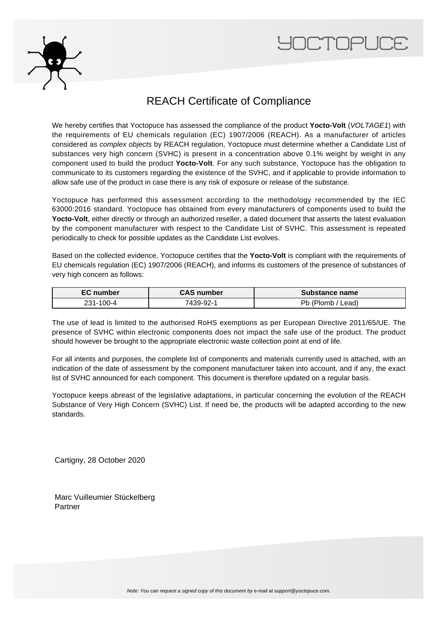



## REACH Certificate of Compliance

We hereby certifies that Yoctopuce has assessed the compliance of the product **Yocto-Volt** (VOLTAGE1) with the requirements of EU chemicals regulation (EC) 1907/2006 (REACH). As a manufacturer of articles considered as complex objects by REACH regulation, Yoctopuce must determine whether a Candidate List of substances very high concern (SVHC) is present in a concentration above 0.1% weight by weight in any component used to build the product **Yocto-Volt**. For any such substance, Yoctopuce has the obligation to communicate to its customers regarding the existence of the SVHC, and if applicable to provide information to allow safe use of the product in case there is any risk of exposure or release of the substance.

Yoctopuce has performed this assessment according to the methodology recommended by the IEC 63000:2016 standard. Yoctopuce has obtained from every manufacturers of components used to build the **Yocto-Volt**, either directly or through an authorized reseller, a dated document that asserts the latest evaluation by the component manufacturer with respect to the Candidate List of SVHC. This assessment is repeated periodically to check for possible updates as the Candidate List evolves.

Based on the collected evidence, Yoctopuce certifies that the **Yocto-Volt** is compliant with the requirements of EU chemicals regulation (EC) 1907/2006 (REACH), and informs its customers of the presence of substances of very high concern as follows:

| <b>EC</b> number | <b>CAS number</b> | Substance name         |
|------------------|-------------------|------------------------|
| 231-100-4        | 7439-92-1         | (Plomb,<br>אכ<br>∟ead) |

The use of lead is limited to the authorised RoHS exemptions as per European Directive 2011/65/UE. The presence of SVHC within electronic components does not impact the safe use of the product. The product should however be brought to the appropriate electronic waste collection point at end of life.

For all intents and purposes, the complete list of components and materials currently used is attached, with an indication of the date of assessment by the component manufacturer taken into account, and if any, the exact list of SVHC announced for each component. This document is therefore updated on a regular basis.

Yoctopuce keeps abreast of the legislative adaptations, in particular concerning the evolution of the REACH Substance of Very High Concern (SVHC) List. If need be, the products will be adapted according to the new standards.

Cartigny, 28 October 2020

Marc Vuilleumier Stückelberg Partner